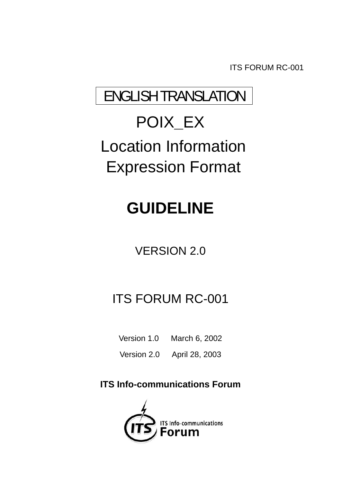ITS FORUM RC-001

# ENGLISH TRANSLATION

# POIX**\_**EX Location Information Expression Format

# **GUIDELINE**

# VERSION 2.0

# ITS FORUM RC-001

Version 1.0 March 6, 2002

Version 2.0 April 28, 2003

# **ITS Info-communications Forum**

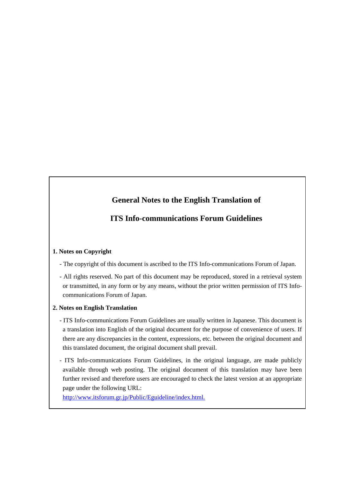# **General Notes to the English Translation of**

# **ITS Info-communications Forum Guidelines**

#### **1. Notes on Copyright**

- The copyright of this document is ascribed to the ITS Info-communications Forum of Japan.

- All rights reserved. No part of this document may be reproduced, stored in a retrieval system or transmitted, in any form or by any means, without the prior written permission of ITS Infocommunications Forum of Japan.

#### **2. Notes on English Translation**

- ITS Info-communications Forum Guidelines are usually written in Japanese. This document is a translation into English of the original document for the purpose of convenience of users. If there are any discrepancies in the content, expressions, etc. between the original document and this translated document, the original document shall prevail.
- ITS Info-communications Forum Guidelines, in the original language, are made publicly available through web posting. The original document of this translation may have been further revised and therefore users are encouraged to check the latest version at an appropriate page under the following URL:

http://www.itsforum.gr.jp/Public/Eguideline/index.html.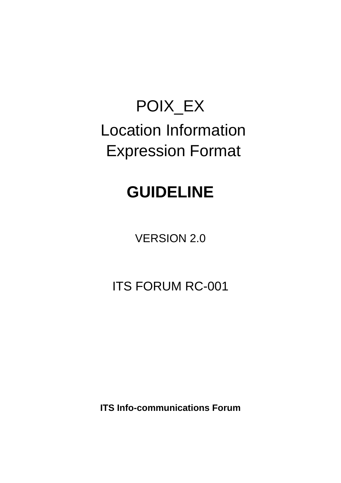# POIX\_EX Location Information Expression Format

# **GUIDELINE**

VERSION 2.0

ITS FORUM RC-001

**ITS Info-communications Forum**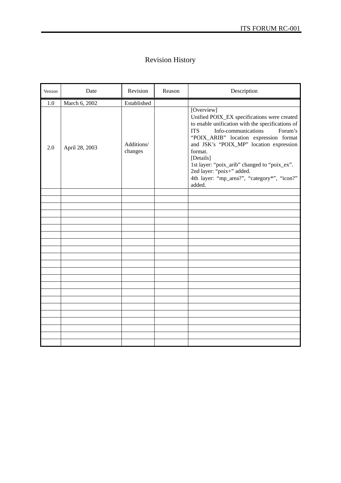# Revision History

| Version | Date           | Revision              | Reason | Description                                                                                                                                                                                                                                                                                                                                                                                                      |
|---------|----------------|-----------------------|--------|------------------------------------------------------------------------------------------------------------------------------------------------------------------------------------------------------------------------------------------------------------------------------------------------------------------------------------------------------------------------------------------------------------------|
| 1.0     | March 6, 2002  | Established           |        |                                                                                                                                                                                                                                                                                                                                                                                                                  |
| 2.0     | April 28, 2003 | Additions/<br>changes |        | [Overview]<br>Unified POIX_EX specifications were created<br>to enable unification with the specifications of<br>Info-communications<br><b>ITS</b><br>Forum's<br>"POIX_ARIB" location expression format<br>and JSK's "POIX_MP" location expression<br>format.<br>[Details]<br>1st layer: "poix_arib" changed to "poix_ex".<br>2nd layer: "poix+" added.<br>4th layer: "mp_area?", "category*", "icon?"<br>added. |
|         |                |                       |        |                                                                                                                                                                                                                                                                                                                                                                                                                  |
|         |                |                       |        |                                                                                                                                                                                                                                                                                                                                                                                                                  |
|         |                |                       |        |                                                                                                                                                                                                                                                                                                                                                                                                                  |
|         |                |                       |        |                                                                                                                                                                                                                                                                                                                                                                                                                  |
|         |                |                       |        |                                                                                                                                                                                                                                                                                                                                                                                                                  |
|         |                |                       |        |                                                                                                                                                                                                                                                                                                                                                                                                                  |
|         |                |                       |        |                                                                                                                                                                                                                                                                                                                                                                                                                  |
|         |                |                       |        |                                                                                                                                                                                                                                                                                                                                                                                                                  |
|         |                |                       |        |                                                                                                                                                                                                                                                                                                                                                                                                                  |
|         |                |                       |        |                                                                                                                                                                                                                                                                                                                                                                                                                  |
|         |                |                       |        |                                                                                                                                                                                                                                                                                                                                                                                                                  |
|         |                |                       |        |                                                                                                                                                                                                                                                                                                                                                                                                                  |
|         |                |                       |        |                                                                                                                                                                                                                                                                                                                                                                                                                  |
|         |                |                       |        |                                                                                                                                                                                                                                                                                                                                                                                                                  |
|         |                |                       |        |                                                                                                                                                                                                                                                                                                                                                                                                                  |
|         |                |                       |        |                                                                                                                                                                                                                                                                                                                                                                                                                  |
|         |                |                       |        |                                                                                                                                                                                                                                                                                                                                                                                                                  |
|         |                |                       |        |                                                                                                                                                                                                                                                                                                                                                                                                                  |
|         |                |                       |        |                                                                                                                                                                                                                                                                                                                                                                                                                  |
|         |                |                       |        |                                                                                                                                                                                                                                                                                                                                                                                                                  |
|         |                |                       |        |                                                                                                                                                                                                                                                                                                                                                                                                                  |
|         |                |                       |        |                                                                                                                                                                                                                                                                                                                                                                                                                  |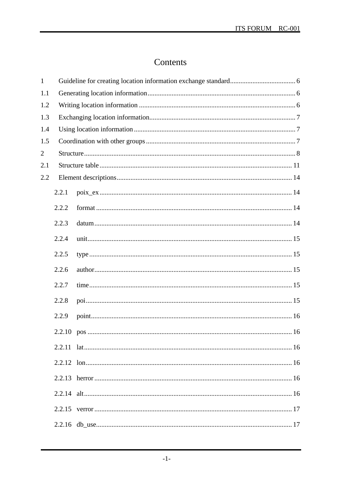# Contents

| $\mathbf{1}$   |       |  |  |  |  |  |  |  |
|----------------|-------|--|--|--|--|--|--|--|
| 1.1            |       |  |  |  |  |  |  |  |
| 1.2            |       |  |  |  |  |  |  |  |
| 1.3            |       |  |  |  |  |  |  |  |
| 1.4            |       |  |  |  |  |  |  |  |
| 1.5            |       |  |  |  |  |  |  |  |
| $\overline{2}$ |       |  |  |  |  |  |  |  |
| 2.1            |       |  |  |  |  |  |  |  |
| 2.2            |       |  |  |  |  |  |  |  |
|                | 2.2.1 |  |  |  |  |  |  |  |
|                | 2.2.2 |  |  |  |  |  |  |  |
|                | 2.2.3 |  |  |  |  |  |  |  |
|                | 2.2.4 |  |  |  |  |  |  |  |
|                | 2.2.5 |  |  |  |  |  |  |  |
|                | 2.2.6 |  |  |  |  |  |  |  |
|                | 2.2.7 |  |  |  |  |  |  |  |
|                | 2.2.8 |  |  |  |  |  |  |  |
|                | 2.2.9 |  |  |  |  |  |  |  |
|                |       |  |  |  |  |  |  |  |
|                |       |  |  |  |  |  |  |  |
|                |       |  |  |  |  |  |  |  |
|                |       |  |  |  |  |  |  |  |
|                |       |  |  |  |  |  |  |  |
|                |       |  |  |  |  |  |  |  |
|                |       |  |  |  |  |  |  |  |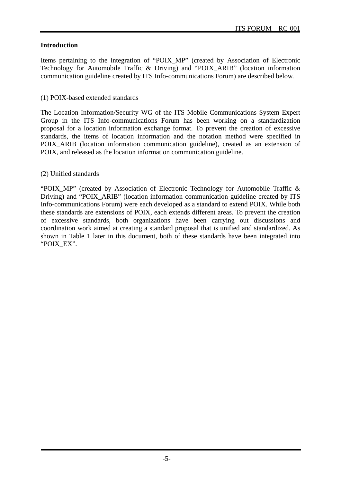#### **Introduction**

Items pertaining to the integration of "POIX\_MP" (created by Association of Electronic Technology for Automobile Traffic & Driving) and "POIX\_ARIB" (location information communication guideline created by ITS Info-communications Forum) are described below.

#### (1) POIX-based extended standards

The Location Information/Security WG of the ITS Mobile Communications System Expert Group in the ITS Info-communications Forum has been working on a standardization proposal for a location information exchange format. To prevent the creation of excessive standards, the items of location information and the notation method were specified in POIX\_ARIB (location information communication guideline), created as an extension of POIX, and released as the location information communication guideline.

#### (2) Unified standards

"POIX\_MP" (created by Association of Electronic Technology for Automobile Traffic & Driving) and "POIX\_ARIB" (location information communication guideline created by ITS Info-communications Forum) were each developed as a standard to extend POIX. While both these standards are extensions of POIX, each extends different areas. To prevent the creation of excessive standards, both organizations have been carrying out discussions and coordination work aimed at creating a standard proposal that is unified and standardized. As shown in Table 1 later in this document, both of these standards have been integrated into "POIX\_EX".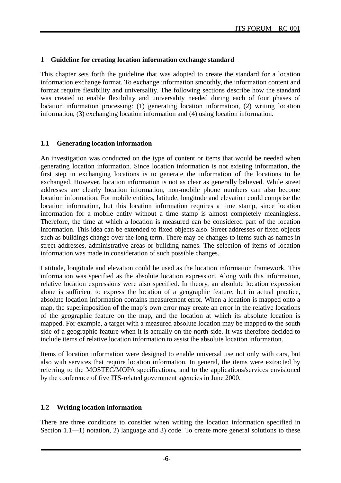#### **1 Guideline for creating location information exchange standard**

This chapter sets forth the guideline that was adopted to create the standard for a location information exchange format. To exchange information smoothly, the information content and format require flexibility and universality. The following sections describe how the standard was created to enable flexibility and universality needed during each of four phases of location information processing: (1) generating location information, (2) writing location information, (3) exchanging location information and (4) using location information.

#### **1.1 Generating location information**

An investigation was conducted on the type of content or items that would be needed when generating location information. Since location information is not existing information, the first step in exchanging locations is to generate the information of the locations to be exchanged. However, location information is not as clear as generally believed. While street addresses are clearly location information, non-mobile phone numbers can also become location information. For mobile entities, latitude, longitude and elevation could comprise the location information, but this location information requires a time stamp, since location information for a mobile entity without a time stamp is almost completely meaningless. Therefore, the time at which a location is measured can be considered part of the location information. This idea can be extended to fixed objects also. Street addresses or fixed objects such as buildings change over the long term. There may be changes to items such as names in street addresses, administrative areas or building names. The selection of items of location information was made in consideration of such possible changes.

Latitude, longitude and elevation could be used as the location information framework. This information was specified as the absolute location expression. Along with this information, relative location expressions were also specified. In theory, an absolute location expression alone is sufficient to express the location of a geographic feature, but in actual practice, absolute location information contains measurement error. When a location is mapped onto a map, the superimposition of the map's own error may create an error in the relative locations of the geographic feature on the map, and the location at which its absolute location is mapped. For example, a target with a measured absolute location may be mapped to the south side of a geographic feature when it is actually on the north side. It was therefore decided to include items of relative location information to assist the absolute location information.

Items of location information were designed to enable universal use not only with cars, but also with services that require location information. In general, the items were extracted by referring to the MOSTEC/MOPA specifications, and to the applications/services envisioned by the conference of five ITS-related government agencies in June 2000.

#### **1.2 Writing location information**

There are three conditions to consider when writing the location information specified in Section 1.1—1) notation, 2) language and 3) code. To create more general solutions to these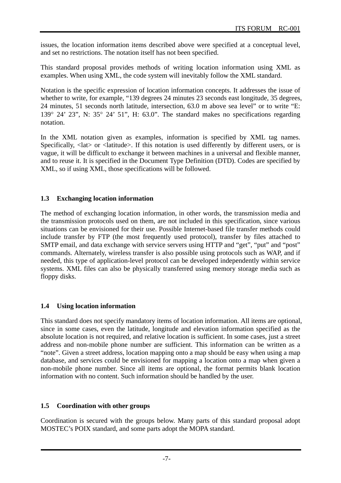issues, the location information items described above were specified at a conceptual level, and set no restrictions. The notation itself has not been specified.

This standard proposal provides methods of writing location information using XML as examples. When using XML, the code system will inevitably follow the XML standard.

Notation is the specific expression of location information concepts. It addresses the issue of whether to write, for example, "139 degrees 24 minutes 23 seconds east longitude, 35 degrees, 24 minutes, 51 seconds north latitude, intersection, 63.0 m above sea level" or to write "E:  $139^{\circ}$  24' 23", N:  $35^{\circ}$  24' 51", H:  $63.0$ ". The standard makes no specifications regarding notation.

In the XML notation given as examples, information is specified by XML tag names. Specifically,  $\langle$ lat $\rangle$  or  $\langle$ latitude $\rangle$ . If this notation is used differently by different users, or is vague, it will be difficult to exchange it between machines in a universal and flexible manner, and to reuse it. It is specified in the Document Type Definition (DTD). Codes are specified by XML, so if using XML, those specifications will be followed.

# **1.3 Exchanging location information**

The method of exchanging location information, in other words, the transmission media and the transmission protocols used on them, are not included in this specification, since various situations can be envisioned for their use. Possible Internet-based file transfer methods could include transfer by FTP (the most frequently used protocol), transfer by files attached to SMTP email, and data exchange with service servers using HTTP and "get", "put" and "post" commands. Alternately, wireless transfer is also possible using protocols such as WAP, and if needed, this type of application-level protocol can be developed independently within service systems. XML files can also be physically transferred using memory storage media such as floppy disks.

# **1.4 Using location information**

This standard does not specify mandatory items of location information. All items are optional, since in some cases, even the latitude, longitude and elevation information specified as the absolute location is not required, and relative location is sufficient. In some cases, just a street address and non-mobile phone number are sufficient. This information can be written as a "note". Given a street address, location mapping onto a map should be easy when using a map database, and services could be envisioned for mapping a location onto a map when given a non-mobile phone number. Since all items are optional, the format permits blank location information with no content. Such information should be handled by the user.

# **1.5 Coordination with other groups**

Coordination is secured with the groups below. Many parts of this standard proposal adopt MOSTEC's POIX standard, and some parts adopt the MOPA standard.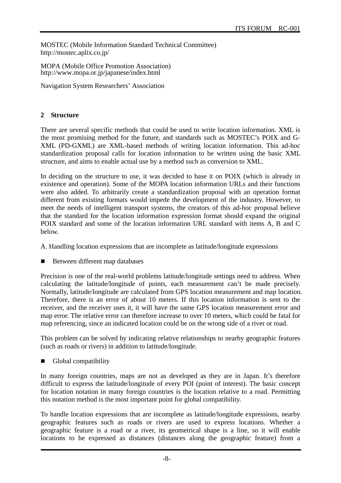MOSTEC (Mobile Information Standard Technical Committee) http://mostec.aplix.co.jp/

MOPA (Mobile Office Promotion Association) http://www.mopa.or.jp/japanese/index.html

Navigation System Researchers' Association

# **2 Structure**

There are several specific methods that could be used to write location information. XML is the most promising method for the future, and standards such as MOSTEC's POIX and G-XML (PD-GXML) are XML-based methods of writing location information. This ad-hoc standardization proposal calls for location information to be written using the basic XML structure, and aims to enable actual use by a method such as conversion to XML.

In deciding on the structure to use, it was decided to base it on POIX (which is already in existence and operation). Some of the MOPA location information URLs and their functions were also added. To arbitrarily create a standardization proposal with an operation format different from existing formats would impede the development of the industry. However, to meet the needs of intelligent transport systems, the creators of this ad-hoc proposal believe that the standard for the location information expression format should expand the original POIX standard and some of the location information URL standard with items A, B and C below.

A. Handling location expressions that are incomplete as latitude/longitude expressions

Between different map databases

Precision is one of the real-world problems latitude/longitude settings need to address. When calculating the latitude/longitude of points, each measurement can't be made precisely. Normally, latitude/longitude are calculated from GPS location measurement and map location. Therefore, there is an error of about 10 meters. If this location information is sent to the receiver, and the receiver uses it, it will have the same GPS location measurement error and map error. The relative error can therefore increase to over 10 meters, which could be fatal for map referencing, since an indicated location could be on the wrong side of a river or road.

This problem can be solved by indicating relative relationships to nearby geographic features (such as roads or rivers) in addition to latitude/longitude.

Global compatibility

In many foreign countries, maps are not as developed as they are in Japan. It's therefore difficult to express the latitude/longitude of every POI (point of interest). The basic concept for location notation in many foreign countries is the location relative to a road. Permitting this notation method is the most important point for global compatibility.

To handle location expressions that are incomplete as latitude/longitude expressions, nearby geographic features such as roads or rivers are used to express locations. Whether a geographic feature is a road or a river, its geometrical shape is a line, so it will enable locations to be expressed as distances (distances along the geographic feature) from a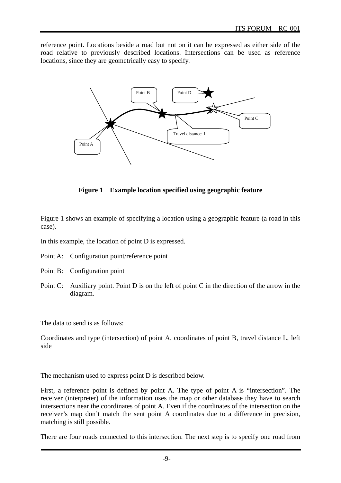reference point. Locations beside a road but not on it can be expressed as either side of the road relative to previously described locations. Intersections can be used as reference locations, since they are geometrically easy to specify.



**Figure 1 Example location specified using geographic feature** 

Figure 1 shows an example of specifying a location using a geographic feature (a road in this case).

In this example, the location of point D is expressed.

- Point A: Configuration point/reference point
- Point B: Configuration point
- Point C: Auxiliary point. Point D is on the left of point C in the direction of the arrow in the diagram.

The data to send is as follows:

Coordinates and type (intersection) of point A, coordinates of point B, travel distance L, left side

The mechanism used to express point D is described below.

First, a reference point is defined by point A. The type of point A is "intersection". The receiver (interpreter) of the information uses the map or other database they have to search intersections near the coordinates of point A. Even if the coordinates of the intersection on the receiver's map don't match the sent point A coordinates due to a difference in precision, matching is still possible.

There are four roads connected to this intersection. The next step is to specify one road from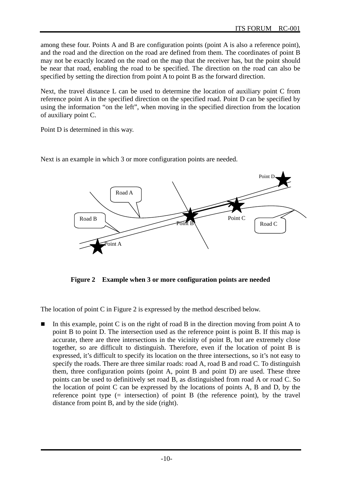among these four. Points A and B are configuration points (point A is also a reference point), and the road and the direction on the road are defined from them. The coordinates of point B may not be exactly located on the road on the map that the receiver has, but the point should be near that road, enabling the road to be specified. The direction on the road can also be specified by setting the direction from point A to point B as the forward direction.

Next, the travel distance L can be used to determine the location of auxiliary point C from reference point A in the specified direction on the specified road. Point D can be specified by using the information "on the left", when moving in the specified direction from the location of auxiliary point C.

Point D is determined in this way.

Next is an example in which 3 or more configuration points are needed.



**Figure 2 Example when 3 or more configuration points are needed** 

The location of point C in Figure 2 is expressed by the method described below.

 In this example, point C is on the right of road B in the direction moving from point A to point B to point D. The intersection used as the reference point is point B. If this map is accurate, there are three intersections in the vicinity of point B, but are extremely close together, so are difficult to distinguish. Therefore, even if the location of point B is expressed, it's difficult to specify its location on the three intersections, so it's not easy to specify the roads. There are three similar roads: road A, road B and road C. To distinguish them, three configuration points (point A, point B and point D) are used. These three points can be used to definitively set road B, as distinguished from road A or road C. So the location of point C can be expressed by the locations of points A, B and D, by the reference point type  $(=$  intersection) of point B (the reference point), by the travel distance from point B, and by the side (right).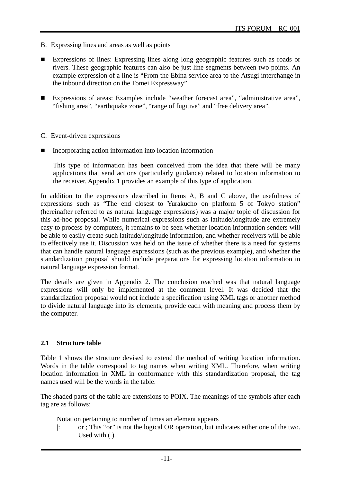- B. Expressing lines and areas as well as points
- Expressions of lines: Expressing lines along long geographic features such as roads or rivers. These geographic features can also be just line segments between two points. An example expression of a line is "From the Ebina service area to the Atsugi interchange in the inbound direction on the Tomei Expressway".
- Expressions of areas: Examples include "weather forecast area", "administrative area", "fishing area", "earthquake zone", "range of fugitive" and "free delivery area".
- C. Event-driven expressions
- Incorporating action information into location information

This type of information has been conceived from the idea that there will be many applications that send actions (particularly guidance) related to location information to the receiver. Appendix 1 provides an example of this type of application.

In addition to the expressions described in Items A, B and C above, the usefulness of expressions such as "The end closest to Yurakucho on platform 5 of Tokyo station" (hereinafter referred to as natural language expressions) was a major topic of discussion for this ad-hoc proposal. While numerical expressions such as latitude/longitude are extremely easy to process by computers, it remains to be seen whether location information senders will be able to easily create such latitude/longitude information, and whether receivers will be able to effectively use it. Discussion was held on the issue of whether there is a need for systems that can handle natural language expressions (such as the previous example), and whether the standardization proposal should include preparations for expressing location information in natural language expression format.

The details are given in Appendix 2. The conclusion reached was that natural language expressions will only be implemented at the comment level. It was decided that the standardization proposal would not include a specification using XML tags or another method to divide natural language into its elements, provide each with meaning and process them by the computer.

#### **2.1 Structure table**

Table 1 shows the structure devised to extend the method of writing location information. Words in the table correspond to tag names when writing XML. Therefore, when writing location information in XML in conformance with this standardization proposal, the tag names used will be the words in the table.

The shaded parts of the table are extensions to POIX. The meanings of the symbols after each tag are as follows:

Notation pertaining to number of times an element appears

|: or ; This "or" is not the logical OR operation, but indicates either one of the two. Used with ( ).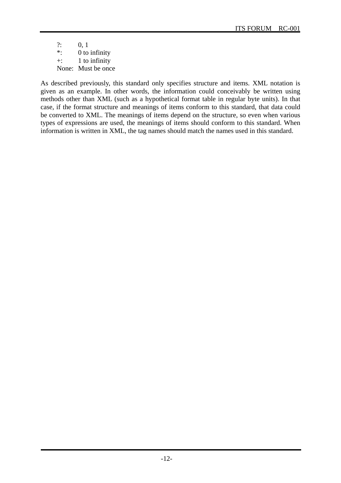$?: 0, 1$ \*: 0 to infinity +: 1 to infinity None: Must be once

As described previously, this standard only specifies structure and items. XML notation is given as an example. In other words, the information could conceivably be written using methods other than XML (such as a hypothetical format table in regular byte units). In that case, if the format structure and meanings of items conform to this standard, that data could be converted to XML. The meanings of items depend on the structure, so even when various types of expressions are used, the meanings of items should conform to this standard. When information is written in XML, the tag names should match the names used in this standard.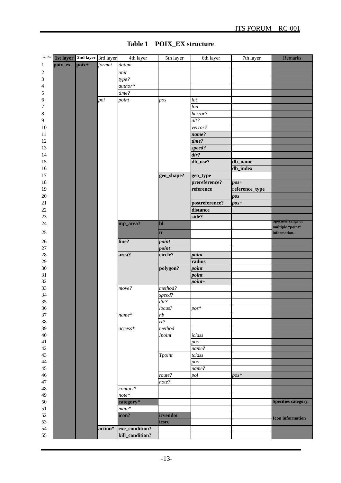| Line No.       | 1st layer   2nd layer   3rd layer |       |         | 4th layer       | 5th layer     | 6th layer      | $\overline{7}$ th layer | Remarks                    |
|----------------|-----------------------------------|-------|---------|-----------------|---------------|----------------|-------------------------|----------------------------|
| 1              | poix_ex                           | poix+ | format  | datum           |               |                |                         |                            |
| $\overline{c}$ |                                   |       |         | unit            |               |                |                         |                            |
| 3              |                                   |       |         | type?           |               |                |                         |                            |
| $\overline{4}$ |                                   |       |         | author*         |               |                |                         |                            |
| 5              |                                   |       |         | time?           |               |                |                         |                            |
| 6              |                                   |       | poi     | point           | pos           | lat            |                         |                            |
|                |                                   |       |         |                 |               | lon            |                         |                            |
| 7              |                                   |       |         |                 |               | herror?        |                         |                            |
| $\,8\,$        |                                   |       |         |                 |               | alt?           |                         |                            |
| 9              |                                   |       |         |                 |               |                |                         |                            |
| 10             |                                   |       |         |                 |               | verror?        |                         |                            |
| 11             |                                   |       |         |                 |               | name?          |                         |                            |
| 12             |                                   |       |         |                 |               | time?          |                         |                            |
| 13             |                                   |       |         |                 |               | speed?         |                         |                            |
| 14             |                                   |       |         |                 |               | dir?           |                         |                            |
| 15             |                                   |       |         |                 |               | db_use?        | db_name                 |                            |
| 16             |                                   |       |         |                 |               |                | db_index                |                            |
| 17             |                                   |       |         |                 | geo_shape?    | geo_type       |                         |                            |
| 18             |                                   |       |         |                 |               | prereference?  | $pos+$                  |                            |
| 19             |                                   |       |         |                 |               | reference      | reference_type          |                            |
| 20             |                                   |       |         |                 |               |                | pos                     |                            |
| 21             |                                   |       |         |                 |               | postreference? | $pos+$                  |                            |
| 22             |                                   |       |         |                 |               | distance       |                         |                            |
| 23             |                                   |       |         |                 |               | side?          |                         |                            |
| 24             |                                   |       |         | mp_area?        | <sub>bl</sub> |                |                         | <b>Specifies range of</b>  |
| $25\,$         |                                   |       |         |                 | tr            |                |                         | multiple "point"           |
|                |                                   |       |         |                 |               |                |                         | information.               |
| 26             |                                   |       |         | line?           | point         |                |                         |                            |
| 27             |                                   |       |         |                 | point         |                |                         |                            |
| $28\,$         |                                   |       |         | area?           | circle?       | point          |                         |                            |
| 29             |                                   |       |         |                 |               | radius         |                         |                            |
| 30             |                                   |       |         |                 | polygon?      | point          |                         |                            |
| 31             |                                   |       |         |                 |               | point          |                         |                            |
| 32             |                                   |       |         |                 |               | $point+$       |                         |                            |
| 33             |                                   |       |         | move?           | method?       |                |                         |                            |
| 34             |                                   |       |         |                 | speed?        |                |                         |                            |
| 35             |                                   |       |         |                 | dir?          |                |                         |                            |
| 36             |                                   |       |         |                 | locus?        | $pos*$         |                         |                            |
| 37             |                                   |       |         | name*           | nb            |                |                         |                            |
| 38             |                                   |       |         |                 | rt?           |                |                         |                            |
| 39             |                                   |       |         | $access*$       | method        |                |                         |                            |
| $40\,$         |                                   |       |         |                 | <b>Ipoint</b> | iclass         |                         |                            |
| 41             |                                   |       |         |                 |               | pos            |                         |                            |
| $42\,$         |                                   |       |         |                 |               | name?          |                         |                            |
| 43             |                                   |       |         |                 | <b>Tpoint</b> | tclass         |                         |                            |
| 44             |                                   |       |         |                 |               | pos            |                         |                            |
| 45             |                                   |       |         |                 |               | name?          |                         |                            |
| 46             |                                   |       |         |                 | route?        | pol            | $pos^*$                 |                            |
| $47\,$         |                                   |       |         |                 | note?         |                |                         |                            |
| 48             |                                   |       |         | $contact*$      |               |                |                         |                            |
| 49             |                                   |       |         | $note*$         |               |                |                         |                            |
| $50\,$         |                                   |       |         | category*       |               |                |                         | <b>Specifies category.</b> |
| 51             |                                   |       |         | $mate*$         |               |                |                         |                            |
| 52             |                                   |       |         | icon?           | icvendor      |                |                         | <b>Icon information</b>    |
| 53             |                                   |       |         |                 | icsrc         |                |                         |                            |
| 54             |                                   |       | action* | exe_condition?  |               |                |                         |                            |
| 55             |                                   |       |         | kill_condition? |               |                |                         |                            |

# **Table 1 POIX\_EX structure**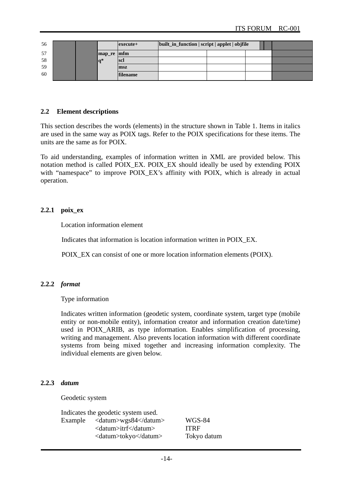| 56 |  |            | $execute+$      | built_in_function   script   applet   objfile |  |  |
|----|--|------------|-----------------|-----------------------------------------------|--|--|
| 57 |  | map_re mfm |                 |                                               |  |  |
| 58 |  | la*        | <b>scl</b>      |                                               |  |  |
| 59 |  |            | msz             |                                               |  |  |
| 60 |  |            | <b>filename</b> |                                               |  |  |

#### **2.2 Element descriptions**

This section describes the words (elements) in the structure shown in Table 1. Items in italics are used in the same way as POIX tags. Refer to the POIX specifications for these items. The units are the same as for POIX.

To aid understanding, examples of information written in XML are provided below. This notation method is called POIX\_EX. POIX\_EX should ideally be used by extending POIX with "namespace" to improve POIX EX's affinity with POIX, which is already in actual operation.

#### **2.2.1 poix\_ex**

Location information element

Indicates that information is location information written in POIX\_EX.

POIX\_EX can consist of one or more location information elements (POIX).

#### **2.2.2** *format*

Type information

Indicates written information (geodetic system, coordinate system, target type (mobile entity or non-mobile entity), information creator and information creation date/time) used in POIX ARIB, as type information. Enables simplification of processing, writing and management. Also prevents location information with different coordinate systems from being mixed together and increasing information complexity. The individual elements are given below.

#### **2.2.3** *datum*

Geodetic system

Indicates the geodetic system used. Example <datum>wgs84</datum> WGS-84 <datum>itrf</datum> ITRF <datum>tokyo</datum> Tokyo datum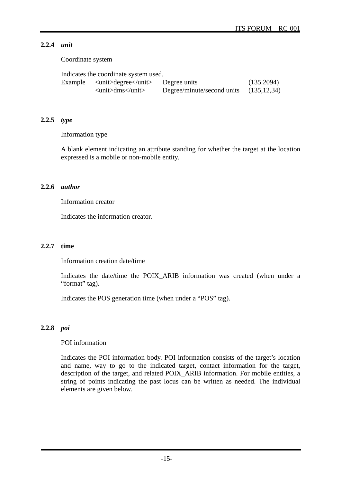# **2.2.4** *unit*

Coordinate system

| Indicates the coordinate system used.                                                   |                            |               |
|-----------------------------------------------------------------------------------------|----------------------------|---------------|
| Example $\langle \text{unit} \rangle$ degree $\langle \text{unit} \rangle$ Degree units |                            | (135.2094)    |
| $\langle \text{unit}\rangle$ dms $\langle \text{unit}\rangle$                           | Degree/minute/second units | (135, 12, 34) |

#### **2.2.5** *type*

Information type

A blank element indicating an attribute standing for whether the target at the location expressed is a mobile or non-mobile entity.

#### **2.2.6** *author*

Information creator

Indicates the information creator.

#### **2.2.7 time**

Information creation date/time

Indicates the date/time the POIX\_ARIB information was created (when under a "format" tag).

Indicates the POS generation time (when under a "POS" tag).

#### **2.2.8** *poi*

#### POI information

Indicates the POI information body. POI information consists of the target's location and name, way to go to the indicated target, contact information for the target, description of the target, and related POIX\_ARIB information. For mobile entities, a string of points indicating the past locus can be written as needed. The individual elements are given below.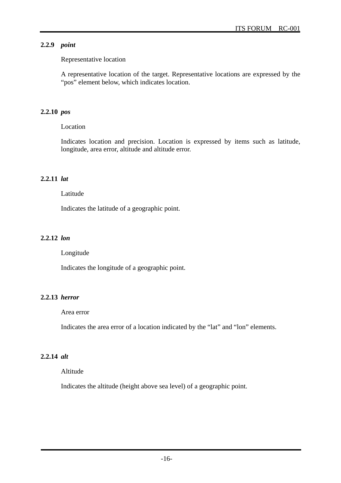# **2.2.9** *point*

# Representative location

A representative location of the target. Representative locations are expressed by the "pos" element below, which indicates location.

# **2.2.10** *pos*

Location

Indicates location and precision. Location is expressed by items such as latitude, longitude, area error, altitude and altitude error.

# **2.2.11** *lat*

# Latitude

Indicates the latitude of a geographic point.

# **2.2.12** *lon*

Longitude

Indicates the longitude of a geographic point.

# **2.2.13** *herror*

# Area error

Indicates the area error of a location indicated by the "lat" and "lon" elements.

# **2.2.14** *alt*

# Altitude

Indicates the altitude (height above sea level) of a geographic point.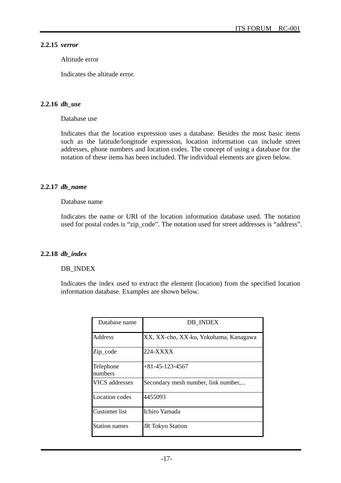#### **2.2.15** *verror*

Altitude error

Indicates the altitude error.

#### **2.2.16** *db\_use*

Database use

Indicates that the location expression uses a database. Besides the most basic items such as the latitude/longitude expression, location information can include street addresses, phone numbers and location codes. The concept of using a database for the notation of these items has been included. The individual elements are given below.

#### **2.2.17** *db\_name*

#### Database name

Indicates the name or URI of the location information database used. The notation used for postal codes is "zip\_code". The notation used for street addresses is "address".

#### **2.2.18** *db\_index*

#### DB\_INDEX

Indicates the index used to extract the element (location) from the specified location information database. Examples are shown below.

| Database name         | DB INDEX                              |
|-----------------------|---------------------------------------|
| Address               | XX, XX-cho, XX-ku, Yokohama, Kanagawa |
| Zip_code              | 224-XXXX                              |
| Telephone<br>numbers  | $+81 - 45 - 123 - 4567$               |
| <b>VICS</b> addresses | Secondary mesh number, link number,   |
| <b>Location</b> codes | 4455093                               |
| Customer list         | Ichiro Yamada                         |
| <b>Station names</b>  | <b>JR</b> Tokyo Station               |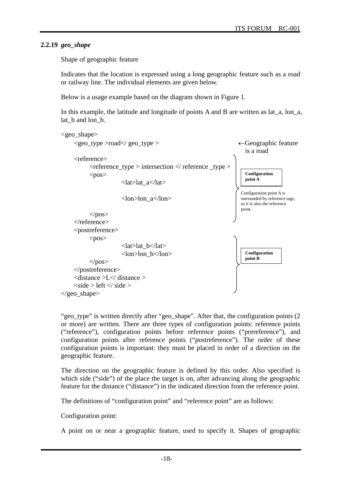#### **2.2.19** *geo\_shape*

Shape of geographic feature

Indicates that the location is expressed using a long geographic feature such as a road or railway line. The individual elements are given below.

Below is a usage example based on the diagram shown in Figure 1.

In this example, the latitude and longitude of points A and B are written as lat\_a, lon\_a, lat\_b and lon\_b.



"geo\_type" is written directly after "geo\_shape". After that, the configuration points (2 or more) are written. There are three types of configuration points: reference points ("reference"), configuration points before reference points ("prereference"), and configuration points after reference points ("postreference"). The order of these configuration points is important: they must be placed in order of a direction on the geographic feature.

The direction on the geographic feature is defined by this order. Also specified is which side ("side") of the place the target is on, after advancing along the geographic feature for the distance ("distance") in the indicated direction from the reference point.

The definitions of "configuration point" and "reference point" are as follows:

#### Configuration point:

A point on or near a geographic feature, used to specify it. Shapes of geographic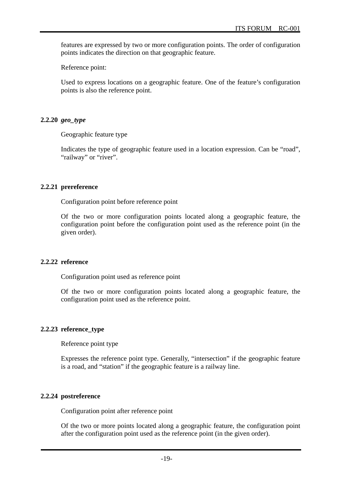features are expressed by two or more configuration points. The order of configuration points indicates the direction on that geographic feature.

Reference point:

Used to express locations on a geographic feature. One of the feature's configuration points is also the reference point.

#### **2.2.20** *geo\_type*

Geographic feature type

Indicates the type of geographic feature used in a location expression. Can be "road", "railway" or "river".

#### **2.2.21 prereference**

Configuration point before reference point

Of the two or more configuration points located along a geographic feature, the configuration point before the configuration point used as the reference point (in the given order).

#### **2.2.22 reference**

Configuration point used as reference point

Of the two or more configuration points located along a geographic feature, the configuration point used as the reference point.

#### **2.2.23 reference\_type**

Reference point type

Expresses the reference point type. Generally, "intersection" if the geographic feature is a road, and "station" if the geographic feature is a railway line.

#### **2.2.24 postreference**

Configuration point after reference point

Of the two or more points located along a geographic feature, the configuration point after the configuration point used as the reference point (in the given order).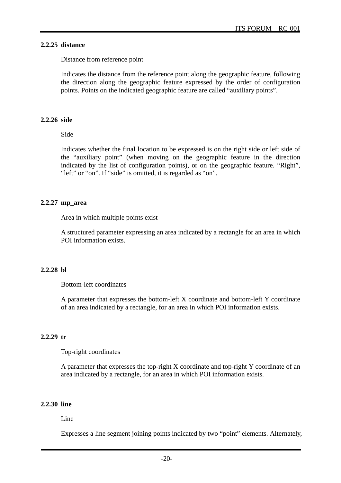#### **2.2.25 distance**

Distance from reference point

Indicates the distance from the reference point along the geographic feature, following the direction along the geographic feature expressed by the order of configuration points. Points on the indicated geographic feature are called "auxiliary points".

#### **2.2.26 side**

Side

Indicates whether the final location to be expressed is on the right side or left side of the "auxiliary point" (when moving on the geographic feature in the direction indicated by the list of configuration points), or on the geographic feature. "Right", "left" or "on". If "side" is omitted, it is regarded as "on".

#### **2.2.27 mp\_area**

Area in which multiple points exist

A structured parameter expressing an area indicated by a rectangle for an area in which POI information exists.

#### **2.2.28 bl**

Bottom-left coordinates

A parameter that expresses the bottom-left X coordinate and bottom-left Y coordinate of an area indicated by a rectangle, for an area in which POI information exists.

#### **2.2.29 tr**

Top-right coordinates

A parameter that expresses the top-right X coordinate and top-right Y coordinate of an area indicated by a rectangle, for an area in which POI information exists.

#### **2.2.30 line**

#### Line

Expresses a line segment joining points indicated by two "point" elements. Alternately,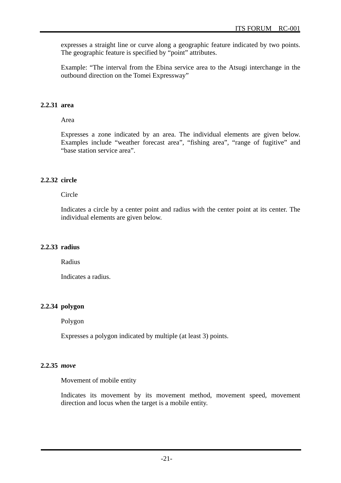expresses a straight line or curve along a geographic feature indicated by two points. The geographic feature is specified by "point" attributes.

Example: "The interval from the Ebina service area to the Atsugi interchange in the outbound direction on the Tomei Expressway"

#### **2.2.31 area**

Area

Expresses a zone indicated by an area. The individual elements are given below. Examples include "weather forecast area", "fishing area", "range of fugitive" and "base station service area".

#### **2.2.32 circle**

Circle

Indicates a circle by a center point and radius with the center point at its center. The individual elements are given below.

#### **2.2.33 radius**

Radius

Indicates a radius.

#### **2.2.34 polygon**

Polygon

Expresses a polygon indicated by multiple (at least 3) points.

#### **2.2.35** *move*

Movement of mobile entity

Indicates its movement by its movement method, movement speed, movement direction and locus when the target is a mobile entity.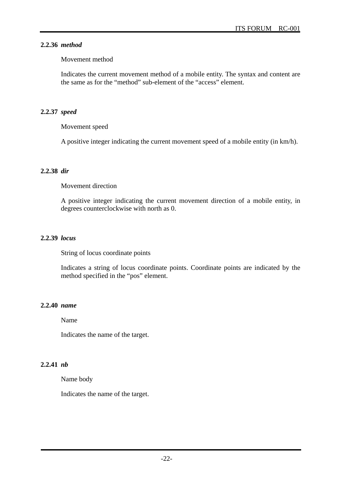# **2.2.36** *method*

#### Movement method

Indicates the current movement method of a mobile entity. The syntax and content are the same as for the "method" sub-element of the "access" element.

# **2.2.37** *speed*

Movement speed

A positive integer indicating the current movement speed of a mobile entity (in km/h).

#### **2.2.38** *dir*

#### Movement direction

A positive integer indicating the current movement direction of a mobile entity, in degrees counterclockwise with north as 0.

#### **2.2.39** *locus*

String of locus coordinate points

Indicates a string of locus coordinate points. Coordinate points are indicated by the method specified in the "pos" element.

# **2.2.40** *name*

Name

Indicates the name of the target.

# **2.2.41** *nb*

Name body

Indicates the name of the target.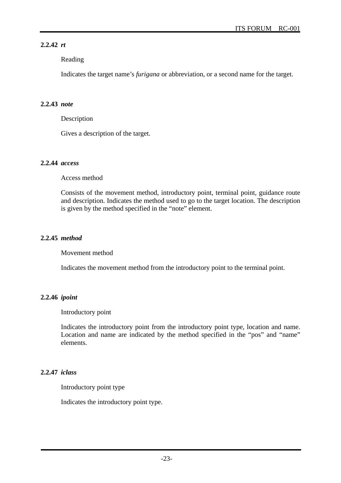# **2.2.42** *rt*

# Reading

Indicates the target name's *furigana* or abbreviation, or a second name for the target.

# **2.2.43** *note*

Description

Gives a description of the target.

# **2.2.44** *access*

Access method

Consists of the movement method, introductory point, terminal point, guidance route and description. Indicates the method used to go to the target location. The description is given by the method specified in the "note" element.

# **2.2.45** *method*

Movement method

Indicates the movement method from the introductory point to the terminal point.

# **2.2.46** *ipoint*

Introductory point

Indicates the introductory point from the introductory point type, location and name. Location and name are indicated by the method specified in the "pos" and "name" elements.

# **2.2.47** *iclass*

Introductory point type

Indicates the introductory point type.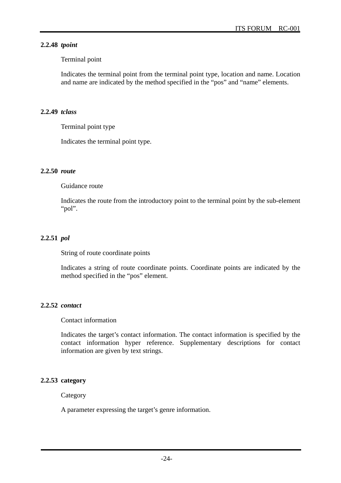# **2.2.48** *tpoint*

## Terminal point

Indicates the terminal point from the terminal point type, location and name. Location and name are indicated by the method specified in the "pos" and "name" elements.

#### **2.2.49** *tclass*

Terminal point type

Indicates the terminal point type.

#### **2.2.50** *route*

Guidance route

Indicates the route from the introductory point to the terminal point by the sub-element "pol".

# **2.2.51** *pol*

String of route coordinate points

Indicates a string of route coordinate points. Coordinate points are indicated by the method specified in the "pos" element.

# **2.2.52** *contact*

Contact information

Indicates the target's contact information. The contact information is specified by the contact information hyper reference. Supplementary descriptions for contact information are given by text strings.

# **2.2.53 category**

Category

A parameter expressing the target's genre information.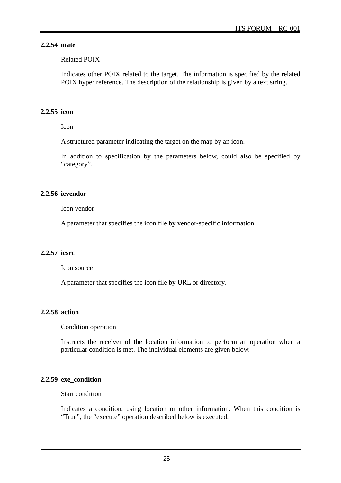# **2.2.54 mate**

Related POIX

Indicates other POIX related to the target. The information is specified by the related POIX hyper reference. The description of the relationship is given by a text string.

# **2.2.55 icon**

Icon

A structured parameter indicating the target on the map by an icon.

In addition to specification by the parameters below, could also be specified by "category".

# **2.2.56 icvendor**

Icon vendor

A parameter that specifies the icon file by vendor-specific information.

# **2.2.57 icsrc**

Icon source

A parameter that specifies the icon file by URL or directory.

# **2.2.58 action**

Condition operation

Instructs the receiver of the location information to perform an operation when a particular condition is met. The individual elements are given below.

# **2.2.59 exe\_condition**

Start condition

Indicates a condition, using location or other information. When this condition is "True", the "execute" operation described below is executed.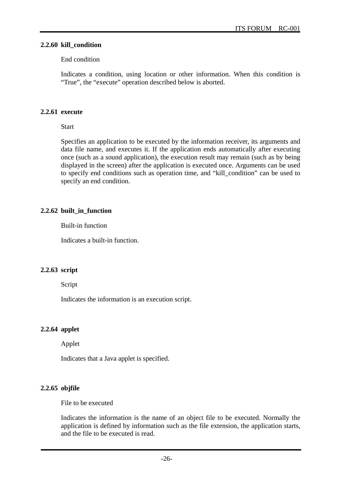#### **2.2.60 kill\_condition**

#### End condition

Indicates a condition, using location or other information. When this condition is "True", the "execute" operation described below is aborted.

#### **2.2.61 execute**

Start

Specifies an application to be executed by the information receiver, its arguments and data file name, and executes it. If the application ends automatically after executing once (such as a sound application), the execution result may remain (such as by being displayed in the screen) after the application is executed once. Arguments can be used to specify end conditions such as operation time, and "kill\_condition" can be used to specify an end condition.

# **2.2.62 built\_in\_function**

Built-in function

Indicates a built-in function.

# **2.2.63 script**

Script

Indicates the information is an execution script.

# **2.2.64 applet**

Applet

Indicates that a Java applet is specified.

# **2.2.65 objfile**

File to be executed

Indicates the information is the name of an object file to be executed. Normally the application is defined by information such as the file extension, the application starts, and the file to be executed is read.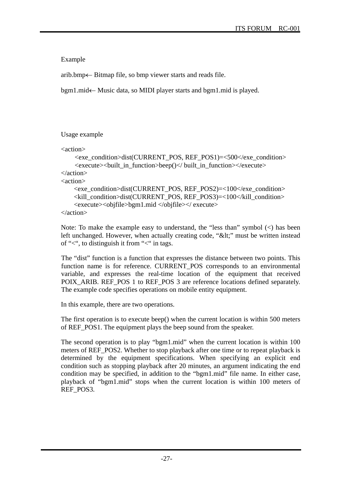Example

arib.bmp $\leftarrow$  Bitmap file, so bmp viewer starts and reads file.

 $bgm1$ .mid $\leftarrow$  Music data, so MIDI player starts and bgm1.mid is played.

Usage example

```
<action> 
     <exe_condition>dist(CURRENT_POS, REF_POS1)=<500</exe_condition> 
     <execute><built_in_function>beep()</ built_in_function></execute> 
</action> 
<action> 
     <exe_condition>dist(CURRENT_POS, REF_POS2)=<100</exe_condition> 
     <kill_condition>dist(CURRENT_POS, REF_POS3)=<100</kill_condition> 
     <execute><objfile>bgm1.mid </objfile></ execute> 
</action>
```
Note: To make the example easy to understand, the "less than" symbol  $(\le)$  has been left unchanged. However, when actually creating code, "<" must be written instead of "<", to distinguish it from "<" in tags.

The "dist" function is a function that expresses the distance between two points. This function name is for reference. CURRENT\_POS corresponds to an environmental variable, and expresses the real-time location of the equipment that received POIX\_ARIB. REF\_POS 1 to REF\_POS 3 are reference locations defined separately. The example code specifies operations on mobile entity equipment.

In this example, there are two operations.

The first operation is to execute beep() when the current location is within 500 meters of REF\_POS1. The equipment plays the beep sound from the speaker.

The second operation is to play "bgm1.mid" when the current location is within 100 meters of REF\_POS2. Whether to stop playback after one time or to repeat playback is determined by the equipment specifications. When specifying an explicit end condition such as stopping playback after 20 minutes, an argument indicating the end condition may be specified, in addition to the "bgm1.mid" file name. In either case, playback of "bgm1.mid" stops when the current location is within 100 meters of REF\_POS3.